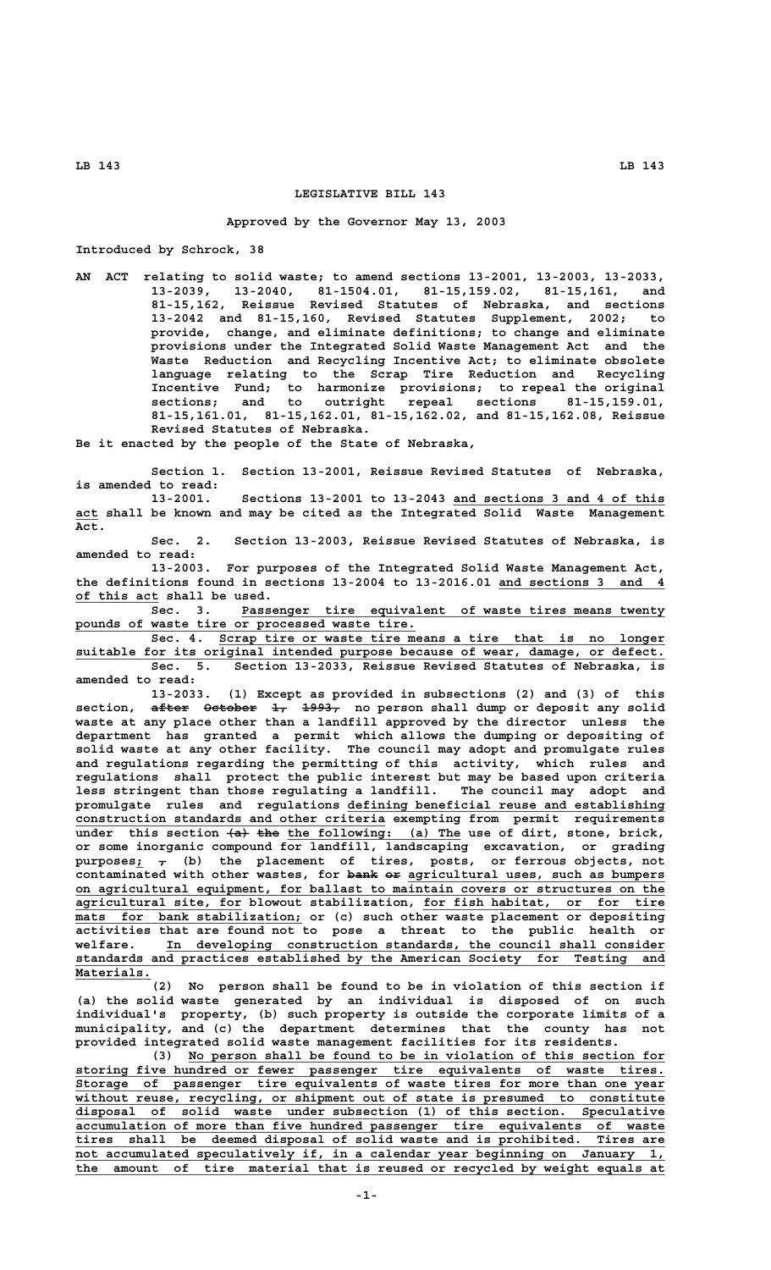## **LEGISLATIVE BILL 143**

#### **Approved by the Governor May 13, 2003**

**Introduced by Schrock, 38**

**AN ACT relating to solid waste; to amend sections 13-2001, 13-2003, 13-2033, 13-2039, 13-2040, 81-1504.01, 81-15,159.02, 81-15,161, and 81-15,162, Reissue Revised Statutes of Nebraska, and sections 13-2042 and 81-15,160, Revised Statutes Supplement, 2002; to provide, change, and eliminate definitions; to change and eliminate provisions under the Integrated Solid Waste Management Act and the Waste Reduction and Recycling Incentive Act; to eliminate obsolete language relating to the Scrap Tire Reduction and Recycling Incentive Fund; to harmonize provisions; to repeal the original sections; and to outright repeal sections 81-15,159.01, 81-15,161.01, 81-15,162.01, 81-15,162.02, and 81-15,162.08, Reissue**<br>**81-15,161.01, 81-15,162.01, 81-15,162.02, and 81-15,162.08, Reissue Revised Statutes of Nebraska.**

**Be it enacted by the people of the State of Nebraska,**

**Section 1. Section 13-2001, Reissue Revised Statutes of Nebraska, is amended to read:**

**13-2001. Sections 13-2001 to 13-2043 and sections 3 and 4 of this \_\_\_\_\_\_\_\_\_\_\_\_\_\_\_\_\_\_\_\_\_\_\_\_\_\_\_\_ \_\_\_ act shall be known and may be cited as the Integrated Solid Waste Management Act.**

**Sec. 2. Section 13-2003, Reissue Revised Statutes of Nebraska, is amended to read:**

**13-2003. For purposes of the Integrated Solid Waste Management Act,** the definitions found in sections 13-2004 to 13-2016.01 and sections 3 and 4  **\_\_\_\_\_\_\_\_\_\_\_ of this act shall be used.**

 **\_\_\_\_\_\_\_\_\_\_\_\_\_\_\_\_\_\_\_\_\_\_\_\_\_\_\_\_\_\_\_\_\_\_\_\_\_\_\_\_\_\_\_\_\_\_\_\_\_\_\_\_\_\_\_\_ Sec. 3. Passenger tire equivalent of waste tires means twenty** pounds of waste tire or processed waste tire.

Sec. 4. Scrap tire or waste tire means a tire that is no longer suitable for its original intended purpose because of wear, damage, or defect. **Sec. 5. Section 13-2033, Reissue Revised Statutes of Nebraska, is amended to read:**

**13-2033. (1) Except as provided in subsections (2) and (3) of this** section, after October 1, 1993, no person shall dump or deposit any solid **waste at any place other than a landfill approved by the director unless the department has granted a permit which allows the dumping or depositing of solid waste at any other facility. The council may adopt and promulgate rules and regulations regarding the permitting of this activity, which rules and regulations shall protect the public interest but may be based upon criteria less stringent than those regulating a landfill. The council may adopt and \_\_\_\_\_\_\_\_\_\_\_\_\_\_\_\_\_\_\_\_\_\_\_\_\_\_\_\_\_\_\_\_\_\_\_\_\_\_\_\_\_\_ promulgate rules and regulations defining beneficial reuse and establishing \_\_\_\_\_\_\_\_\_\_\_\_\_\_\_\_\_\_\_\_\_\_\_\_\_\_\_\_\_\_\_\_\_\_\_\_\_\_\_\_\_ construction standards and other criteria exempting from permit requirements** under this section  $\{a\}$  the the following: (a) The use of dirt, stone, brick, **or some inorganic compound for landfill, landscaping excavation, or grading \_— purposes; , (b) the placement of tires, posts, or ferrous objects, not** contaminated with other wastes, for bank or agricultural uses, such as bumpers  **\_\_\_\_\_\_\_\_\_\_\_\_\_\_\_\_\_\_\_\_\_\_\_\_\_\_\_\_\_\_\_\_\_\_\_\_\_\_\_\_\_\_\_\_\_\_\_\_\_\_\_\_\_\_\_\_\_\_\_\_\_\_\_\_\_\_\_\_\_\_\_\_\_\_\_\_\_\_ on agricultural equipment, for ballast to maintain covers or structures on the \_\_\_\_\_\_\_\_\_\_\_\_\_\_\_\_\_\_\_\_\_\_ \_\_\_\_\_\_\_\_\_\_\_\_\_\_\_\_\_\_\_\_\_\_\_\_\_\_\_\_\_\_\_\_ agricultural site, for blowout stabilization, for fish habitat, or for tire**  $max$  for bank stabilization; or (c) such other waste placement or depositing **activities that are found not to pose a threat to the public health or \_\_\_\_\_\_\_\_\_\_\_\_\_\_\_\_\_\_\_\_\_\_\_\_\_\_\_\_\_\_\_\_\_\_\_\_\_\_\_\_\_\_\_\_\_\_\_\_\_\_\_\_\_\_\_\_\_\_\_\_\_\_\_\_\_\_ welfare. In developing construction standards, the council shall consider \_\_\_\_\_\_\_\_\_\_\_\_\_\_\_\_\_\_\_\_\_\_\_\_\_\_\_\_\_\_\_\_\_\_\_\_\_\_\_\_\_\_\_\_\_\_\_\_\_\_\_\_\_\_\_\_\_\_\_\_\_\_\_\_\_\_\_\_\_\_\_\_\_\_\_\_\_\_ standards and practices established by the American Society for Testing and Materials. \_\_\_\_\_\_\_\_\_\_**

**(2) No person shall be found to be in violation of this section if (a) the solid waste generated by an individual is disposed of on such individual's property, (b) such property is outside the corporate limits of a municipality, and (c) the department determines that the county has not provided integrated solid waste management facilities for its residents.**

 **\_\_\_\_\_\_\_\_\_\_\_\_\_\_\_\_\_\_\_\_\_\_\_\_\_\_\_\_\_\_\_\_\_\_\_\_\_\_\_\_\_\_\_\_\_\_\_\_\_\_\_\_\_\_\_\_\_\_\_\_\_\_\_ (3) No person shall be found to be in violation of this section for \_\_\_\_\_\_\_\_\_\_\_\_\_\_\_\_\_\_\_\_\_\_\_\_\_\_\_\_\_\_\_\_\_\_\_\_\_\_\_\_\_\_\_\_\_\_\_\_\_\_\_\_\_\_\_\_\_\_\_\_\_\_\_\_\_\_\_\_\_\_\_\_\_\_\_\_\_\_ storing five hundred or fewer passenger tire equivalents of waste tires. \_\_\_\_\_\_\_\_\_\_\_\_\_\_\_\_\_\_\_\_\_\_\_\_\_\_\_\_\_\_\_\_\_\_\_\_\_\_\_\_\_\_\_\_\_\_\_\_\_\_\_\_\_\_\_\_\_\_\_\_\_\_\_\_\_\_\_\_\_\_\_\_\_\_\_\_\_\_ Storage of passenger tire equivalents of waste tires for more than one year \_\_\_\_\_\_\_\_\_\_\_\_\_\_\_\_\_\_\_\_\_\_\_\_\_\_\_\_\_\_\_\_\_\_\_\_\_\_\_\_\_\_\_\_\_\_\_\_\_\_\_\_\_\_\_\_\_\_\_\_\_\_\_\_\_\_\_\_\_\_\_\_\_\_\_\_\_\_ without reuse, recycling, or shipment out of state is presumed to constitute \_\_\_\_\_\_\_\_\_\_\_\_\_\_\_\_\_\_\_\_\_\_\_\_\_\_\_\_\_\_\_\_\_\_\_\_\_\_\_\_\_\_\_\_\_\_\_\_\_\_\_\_\_\_\_\_\_\_\_\_\_\_\_\_\_\_\_\_\_\_\_\_\_\_\_\_\_\_ disposal of solid waste under subsection (1) of this section. Speculative \_\_\_\_\_\_\_\_\_\_\_\_\_\_\_\_\_\_\_\_\_\_\_\_\_\_\_\_\_\_\_\_\_\_\_\_\_\_\_\_\_\_\_\_\_\_\_\_\_\_\_\_\_\_\_\_\_\_\_\_\_\_\_\_\_\_\_\_\_\_\_\_\_\_\_\_\_\_ accumulation of more than five hundred passenger tire equivalents of waste \_\_\_\_\_\_\_\_\_\_\_\_\_\_\_\_\_\_\_\_\_\_\_\_\_\_\_\_\_\_\_\_\_\_\_\_\_\_\_\_\_\_\_\_\_\_\_\_\_\_\_\_\_\_\_\_\_\_\_\_\_\_\_\_\_\_\_\_\_\_\_\_\_\_\_\_\_\_ tires shall be deemed disposal of solid waste and is prohibited. Tires are \_\_\_\_\_\_\_\_\_\_\_\_\_\_\_\_\_\_\_\_\_\_\_\_\_\_\_\_\_\_\_\_\_\_\_\_\_\_\_\_\_\_\_\_\_\_\_\_\_\_\_\_\_\_\_\_\_\_\_\_\_\_\_\_\_\_\_\_\_\_\_\_\_\_\_\_\_\_ not accumulated speculatively if, in a calendar year beginning on January 1, \_\_\_\_\_\_\_\_\_\_\_\_\_\_\_\_\_\_\_\_\_\_\_\_\_\_\_\_\_\_\_\_\_\_\_\_\_\_\_\_\_\_\_\_\_\_\_\_\_\_\_\_\_\_\_\_\_\_\_\_\_\_\_\_\_\_\_\_\_\_\_\_\_\_\_\_\_\_ the amount of tire material that is reused or recycled by weight equals at**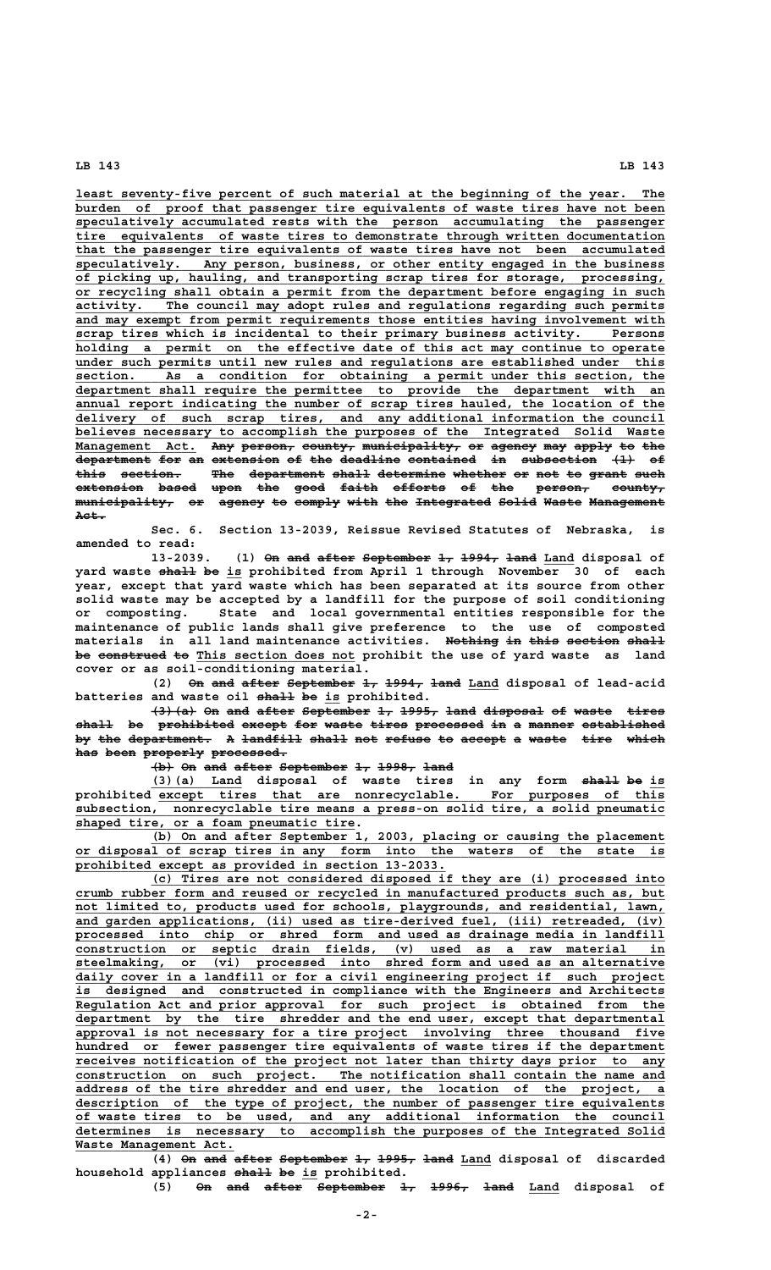least seventy-five percent of such material at the beginning of the year. The burden of proof that passenger tire equivalents of waste tires have not been  **\_\_\_\_\_\_\_\_\_\_\_\_\_\_\_\_\_\_\_\_\_\_\_\_\_\_\_\_\_\_\_\_\_\_\_\_\_\_\_\_\_\_\_\_\_\_\_\_\_\_\_\_\_\_\_\_\_\_\_\_\_\_\_\_\_\_\_\_\_\_\_\_\_\_\_\_\_\_ speculatively accumulated rests with the person accumulating the passenger \_\_\_\_\_\_\_\_\_\_\_\_\_\_\_\_\_\_\_\_\_\_\_\_\_\_\_\_\_\_\_\_\_\_\_\_\_\_\_\_\_\_\_\_\_\_\_\_\_\_\_\_\_\_\_\_\_\_\_\_\_\_\_\_\_\_\_\_\_\_\_\_\_\_\_\_\_\_ tire equivalents of waste tires to demonstrate through written documentation** that the passenger tire equivalents of waste tires have not been accumulated  **\_\_\_\_\_\_\_\_\_\_\_\_\_\_\_\_\_\_\_\_\_\_\_\_\_\_\_\_\_\_\_\_\_\_\_\_\_\_\_\_\_\_\_\_\_\_\_\_\_\_\_\_\_\_\_\_\_\_\_\_\_\_\_\_\_\_\_\_\_\_\_\_\_\_\_\_\_\_ speculatively. Any person, business, or other entity engaged in the business \_\_\_\_\_\_\_\_\_\_\_\_\_\_\_\_\_\_\_\_\_\_\_\_\_\_\_\_\_\_\_\_\_\_\_\_\_\_\_\_\_\_\_\_\_\_\_\_\_\_\_\_\_\_\_\_\_\_\_\_\_\_\_\_\_\_\_\_\_\_\_\_\_\_\_\_\_\_ of picking up, hauling, and transporting scrap tires for storage, processing, \_\_\_\_\_\_\_\_\_\_\_\_\_\_\_\_\_\_\_\_\_\_\_\_\_\_\_\_\_\_\_\_\_\_\_\_\_\_\_\_\_\_\_\_\_\_\_\_\_\_\_\_\_\_\_\_\_\_\_\_\_\_\_\_\_\_\_\_\_\_\_\_\_\_\_\_\_\_ or recycling shall obtain a permit from the department before engaging in such \_\_\_\_\_\_\_\_\_\_\_\_\_\_\_\_\_\_\_\_\_\_\_\_\_\_\_\_\_\_\_\_\_\_\_\_\_\_\_\_\_\_\_\_\_\_\_\_\_\_\_\_\_\_\_\_\_\_\_\_\_\_\_\_\_\_\_\_\_\_\_\_\_\_\_\_\_\_ activity. The council may adopt rules and regulations regarding such permits \_\_\_\_\_\_\_\_\_\_\_\_\_\_\_\_\_\_\_\_\_\_\_\_\_\_\_\_\_\_\_\_\_\_\_\_\_\_\_\_\_\_\_\_\_\_\_\_\_\_\_\_\_\_\_\_\_\_\_\_\_\_\_\_\_\_\_\_\_\_\_\_\_\_\_\_\_\_ and may exempt from permit requirements those entities having involvement with \_\_\_\_\_\_\_\_\_\_\_\_\_\_\_\_\_\_\_\_\_\_\_\_\_\_\_\_\_\_\_\_\_\_\_\_\_\_\_\_\_\_\_\_\_\_\_\_\_\_\_\_\_\_\_\_\_\_\_\_\_\_\_\_\_\_\_\_\_\_\_\_\_\_\_\_\_\_ scrap tires which is incidental to their primary business activity. Persons** holding a permit on the effective date of this act may continue to operate  **\_\_\_\_\_\_\_\_\_\_\_\_\_\_\_\_\_\_\_\_\_\_\_\_\_\_\_\_\_\_\_\_\_\_\_\_\_\_\_\_\_\_\_\_\_\_\_\_\_\_\_\_\_\_\_\_\_\_\_\_\_\_\_\_\_\_\_\_\_\_\_\_\_\_\_\_\_\_ under such permits until new rules and regulations are established under this \_\_\_\_\_\_\_\_\_\_\_\_\_\_\_\_\_\_\_\_\_\_\_\_\_\_\_\_\_\_\_\_\_\_\_\_\_\_\_\_\_\_\_\_\_\_\_\_\_\_\_\_\_\_\_\_\_\_\_\_\_\_\_\_\_\_\_\_\_\_\_\_\_\_\_\_\_\_ section. As a condition for obtaining a permit under this section, the \_\_\_\_\_\_\_\_\_\_\_\_\_\_\_\_\_\_\_\_\_\_\_\_\_\_\_\_\_\_\_\_\_\_\_\_\_\_\_\_\_\_\_\_\_\_\_\_\_\_\_\_\_\_\_\_\_\_\_\_\_\_\_\_\_\_\_\_\_\_\_\_\_\_\_\_\_\_ department shall require the permittee to provide the department with an \_\_\_\_\_\_\_\_\_\_\_\_\_\_\_\_\_\_\_\_\_\_\_\_\_\_\_\_\_\_\_\_\_\_\_\_\_\_\_\_\_\_\_\_\_\_\_\_\_\_\_\_\_\_\_\_\_\_\_\_\_\_\_\_\_\_\_\_\_\_\_\_\_\_\_\_\_\_ annual report indicating the number of scrap tires hauled, the location of the**  $delivery$  of such scrap tires, and any additional information the council believes necessary to accomplish the purposes of the Integrated Solid Waste Management Act. Any person, county, municipality, or agency may apply to the department for an extension of the deadline contained in subsection  $\{1\}$  of **this section. The department shall determine whether or not to grant such ———— ———————— ——— —————————— ————— ————————— ——————— —— ——— —— ————— ——— extension based upon the good faith efforts of the person, county, ————————— ————— ———— ——— ———— ————— ——————— —— ——— ——————— —————— municipality, or agency to comply with the Integrated Solid Waste Management ————————————— —— —————— —— —————— ———— ——— —————————— ————— ————— —————————— Act.————**

**Sec. 6. Section 13-2039, Reissue Revised Statutes of Nebraska, is amended to read:**

13-2039. (1) On and after September 1, 1994, land Land disposal of **yard waste <del>shall</del> be is prohibited from April 1 through November 30 of each year, except that yard waste which has been separated at its source from other solid waste may be accepted by a landfill for the purpose of soil conditioning or composting. State and local governmental entities responsible for the maintenance of public lands shall give preference to the use of composted materials in all land maintenance activities. Nothing in this section shall ——————— —— ———— ——————— ————** be construed to This section does not prohibit the use of yard waste as land **cover or as soil-conditioning material.**

(2) On and after September 1, 1994, land Land disposal of lead-acid batteries and waste oil shall be is prohibited.

 $\overline{+3}(a)$  On and after September 1, 1995, land disposal of waste tires **shall be prohibited except for waste tires processed in a manner established ————— —— —————————— —————— ——— ————— ————— ————————— —— — —————— ——————————** by the department. A landfill shall not refuse to accept a waste tire which has been properly processed.

(b) On and after September 1, 1998, land

(3)(a) Land disposal of waste tires in any form shall be is  **\_\_\_\_\_\_\_\_\_\_\_\_\_\_\_\_\_\_\_\_\_\_\_\_\_\_\_\_\_\_\_\_\_\_\_\_\_\_\_\_\_\_\_\_\_\_\_\_\_\_\_\_\_\_\_\_\_\_\_\_\_\_\_\_\_\_\_ prohibited except tires that are nonrecyclable. For purposes of this**  $subsection$ , nonrecyclable tire means a press-on solid tire, a solid pneumatic  **\_\_\_\_\_\_\_\_\_\_\_\_\_\_\_\_\_\_\_\_\_\_\_\_\_\_\_\_\_\_\_\_\_\_\_\_\_ shaped tire, or a foam pneumatic tire.**

 **\_\_\_\_\_\_\_\_\_\_\_\_\_\_\_\_\_\_\_\_\_\_\_\_\_\_\_\_\_\_\_\_\_\_\_\_\_\_\_\_\_\_\_\_\_\_\_\_\_\_\_\_\_\_\_\_\_\_\_\_\_\_\_\_\_\_\_\_ (b) On and after September 1, 2003, placing or causing the placement \_\_\_\_\_\_\_\_\_\_\_\_\_\_\_\_\_\_\_\_\_\_\_\_\_\_\_\_\_\_\_\_\_\_\_\_\_\_\_\_\_\_\_\_\_\_\_\_\_\_\_\_\_\_\_\_\_\_\_\_\_\_\_\_\_\_\_\_\_\_\_\_\_\_\_\_\_\_ or disposal of scrap tires in any form into the waters of the state is \_\_\_\_\_\_\_\_\_\_\_\_\_\_\_\_\_\_\_\_\_\_\_\_\_\_\_\_\_\_\_\_\_\_\_\_\_\_\_\_\_\_\_\_\_\_\_\_\_ prohibited except as provided in section 13-2033.**

 **\_\_\_\_\_\_\_\_\_\_\_\_\_\_\_\_\_\_\_\_\_\_\_\_\_\_\_\_\_\_\_\_\_\_\_\_\_\_\_\_\_\_\_\_\_\_\_\_\_\_\_\_\_\_\_\_\_\_\_\_\_\_\_\_\_\_\_\_ (c) Tires are not considered disposed if they are (i) processed into** crumb rubber form and reused or recycled in manufactured products such as, but  **\_\_\_\_\_\_\_\_\_\_\_\_\_\_\_\_\_\_\_\_\_\_\_\_\_\_\_\_\_\_\_\_\_\_\_\_\_\_\_\_\_\_\_\_\_\_\_\_\_\_\_\_\_\_\_\_\_\_\_\_\_\_\_\_\_\_\_\_\_\_\_\_\_\_\_\_\_\_ not limited to, products used for schools, playgrounds, and residential, lawn,** and garden applications, (ii) used as tire-derived fuel, (iii) retreaded, (iv)  **\_\_\_\_\_\_\_\_\_\_\_\_\_\_\_\_\_\_\_\_\_\_\_\_\_\_\_\_\_\_\_\_\_\_\_\_\_\_\_\_\_\_\_\_\_\_\_\_\_\_\_\_\_\_\_\_\_\_\_\_\_\_\_\_\_\_\_\_\_\_\_\_\_\_\_\_\_\_ processed into chip or shred form and used as drainage media in landfill \_\_\_\_\_\_\_\_\_\_\_\_\_\_\_\_\_\_\_\_\_\_\_\_\_\_\_\_\_\_\_\_\_\_\_\_\_\_\_\_\_\_\_\_\_\_\_\_\_\_\_\_\_\_\_\_\_\_\_\_\_\_\_\_\_\_\_\_\_\_\_\_\_\_\_\_\_\_ construction or septic drain fields, (v) used as a raw material in \_\_\_\_\_\_\_\_\_\_\_\_\_\_\_\_\_\_\_\_\_\_\_\_\_\_\_\_\_\_\_\_\_\_\_\_\_\_\_\_\_\_\_\_\_\_\_\_\_\_\_\_\_\_\_\_\_\_\_\_\_\_\_\_\_\_\_\_\_\_\_\_\_\_\_\_\_\_ steelmaking, or (vi) processed into shred form and used as an alternative \_\_\_\_\_\_\_\_\_\_\_\_\_\_\_\_\_\_\_\_\_\_\_\_\_\_\_\_\_\_\_\_\_\_\_\_\_\_\_\_\_\_\_\_\_\_\_\_\_\_\_\_\_\_\_\_\_\_\_\_\_\_\_\_\_\_\_\_\_\_\_\_\_\_\_\_\_\_ daily cover in a landfill or for a civil engineering project if such project \_\_\_\_\_\_\_\_\_\_\_\_\_\_\_\_\_\_\_\_\_\_\_\_\_\_\_\_\_\_\_\_\_\_\_\_\_\_\_\_\_\_\_\_\_\_\_\_\_\_\_\_\_\_\_\_\_\_\_\_\_\_\_\_\_\_\_\_\_\_\_\_\_\_\_\_\_\_ is designed and constructed in compliance with the Engineers and Architects \_\_\_\_\_\_\_\_\_\_\_\_\_\_\_\_\_\_\_\_\_\_\_\_\_\_\_\_\_\_\_\_\_\_\_\_\_\_\_\_\_\_\_\_\_\_\_\_\_\_\_\_\_\_\_\_\_\_\_\_\_\_\_\_\_\_\_\_\_\_\_\_\_\_\_\_\_\_ Regulation Act and prior approval for such project is obtained from the** department by the tire shredder and the end user, except that departmental  **\_\_\_\_\_\_\_\_\_\_\_\_\_\_\_\_\_\_\_\_\_\_\_\_\_\_\_\_\_\_\_\_\_\_\_\_\_\_\_\_\_\_\_\_\_\_\_\_\_\_\_\_\_\_\_\_\_\_\_\_\_\_\_\_\_\_\_\_\_\_\_\_\_\_\_\_\_\_ approval is not necessary for a tire project involving three thousand five \_\_\_\_\_\_\_\_\_\_\_\_\_\_\_\_\_\_\_\_\_\_\_\_\_\_\_\_\_\_\_\_\_\_\_\_\_\_\_\_\_\_\_\_\_\_\_\_\_\_\_\_\_\_\_\_\_\_\_\_\_\_\_\_\_\_\_\_\_\_\_\_\_\_\_\_\_\_ hundred or fewer passenger tire equivalents of waste tires if the department \_\_\_\_\_\_\_\_\_\_\_\_\_\_\_\_\_\_\_\_\_\_\_\_\_\_\_\_\_\_\_\_\_\_\_\_\_\_\_\_\_\_\_\_\_\_\_\_\_\_\_\_\_\_\_\_\_\_\_\_\_\_\_\_\_\_\_\_\_\_\_\_\_\_\_\_\_\_ receives notification of the project not later than thirty days prior to any \_\_\_\_\_\_\_\_\_\_\_\_\_\_\_\_\_\_\_\_\_\_\_\_\_\_\_\_\_\_\_\_\_\_\_\_\_\_\_\_\_\_\_\_\_\_\_\_\_\_\_\_\_\_\_\_\_\_\_\_\_\_\_\_\_\_\_\_\_\_\_\_\_\_\_\_\_\_ construction on such project. The notification shall contain the name and \_\_\_\_\_\_\_\_\_\_\_\_\_\_\_\_\_\_\_\_\_\_\_\_\_\_\_\_\_\_\_\_\_\_\_\_\_\_\_\_\_\_\_\_\_\_\_\_\_\_\_\_\_\_\_\_\_\_\_\_\_\_\_\_\_\_\_\_\_\_\_\_\_\_\_\_\_\_ address of the tire shredder and end user, the location of the project, a \_\_\_\_\_\_\_\_\_\_\_\_\_\_\_\_\_\_\_\_\_\_\_\_\_\_\_\_\_\_\_\_\_\_\_\_\_\_\_\_\_\_\_\_\_\_\_\_\_\_\_\_\_\_\_\_\_\_\_\_\_\_\_\_\_\_\_\_\_\_\_\_\_\_\_\_\_\_ description of the type of project, the number of passenger tire equivalents \_\_\_\_\_\_\_\_\_\_\_\_\_\_\_\_\_\_\_\_\_\_\_\_\_\_\_\_\_\_\_\_\_\_\_\_\_\_\_\_\_\_\_\_\_\_\_\_\_\_\_\_\_\_\_\_\_\_\_\_\_\_\_\_\_\_\_\_\_\_\_\_\_\_\_\_\_\_ of waste tires to be used, and any additional information the council \_\_\_\_\_\_\_\_\_\_\_\_\_\_\_\_\_\_\_\_\_\_\_\_\_\_\_\_\_\_\_\_\_\_\_\_\_\_\_\_\_\_\_\_\_\_\_\_\_\_\_\_\_\_\_\_\_\_\_\_\_\_\_\_\_\_\_\_\_\_\_\_\_\_\_\_\_\_ determines is necessary to accomplish the purposes of the Integrated Solid \_\_\_\_\_\_\_\_\_\_\_\_\_\_\_\_\_\_\_\_\_ Waste Management Act.**

> (4) On and after September 1, 1995, land Land disposal of discarded household appliances  $\frac{1}{2}$  be is prohibited.

(5) On and after September 1, 1996, land Land disposal of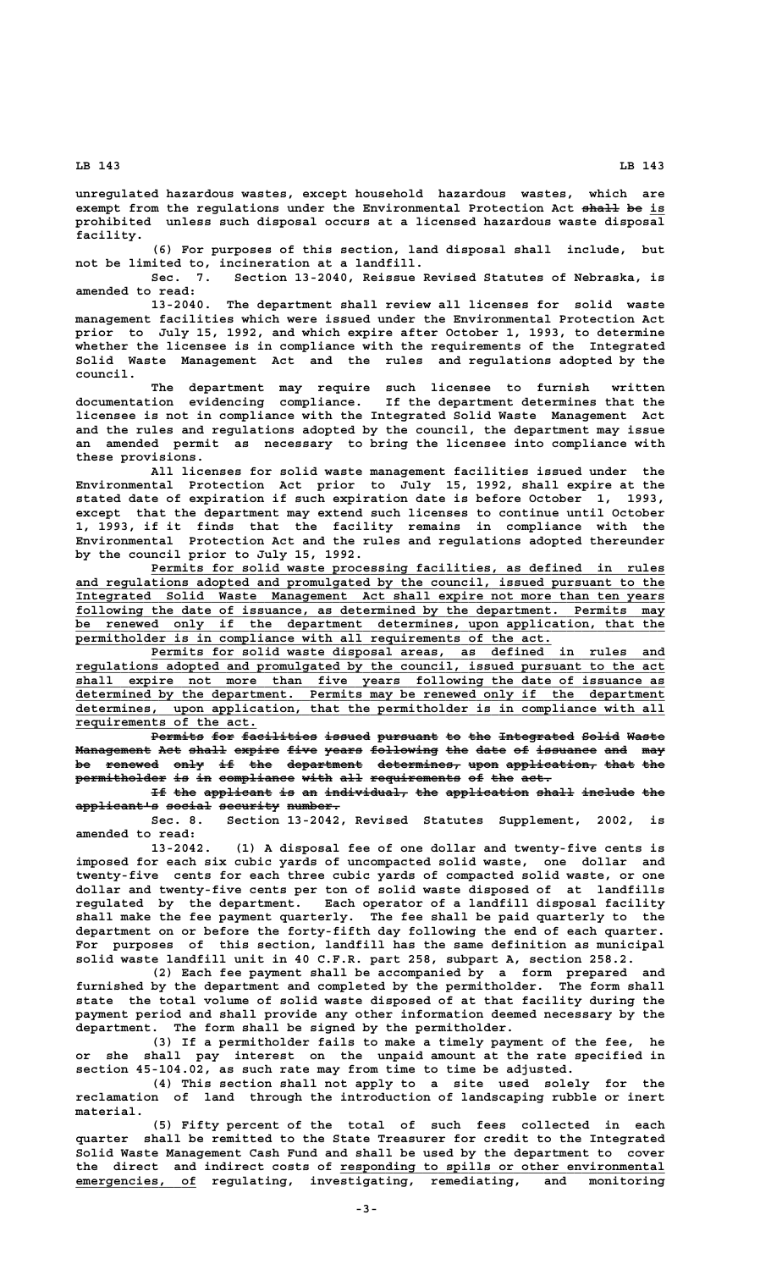**unregulated hazardous wastes, except household hazardous wastes, which are** exempt from the regulations under the Environmental Protection Act shall be is **prohibited unless such disposal occurs at a licensed hazardous waste disposal facility.**

**(6) For purposes of this section, land disposal shall include, but not be limited to, incineration at a landfill.**

**Sec. 7. Section 13-2040, Reissue Revised Statutes of Nebraska, is amended to read:**

**13-2040. The department shall review all licenses for solid waste management facilities which were issued under the Environmental Protection Act prior to July 15, 1992, and which expire after October 1, 1993, to determine whether the licensee is in compliance with the requirements of the Integrated Solid Waste Management Act and the rules and regulations adopted by the council.**

**The department may require such licensee to furnish written documentation evidencing compliance. If the department determines that the licensee is not in compliance with the Integrated Solid Waste Management Act and the rules and regulations adopted by the council, the department may issue an amended permit as necessary to bring the licensee into compliance with these provisions.**

**All licenses for solid waste management facilities issued under the Environmental Protection Act prior to July 15, 1992, shall expire at the stated date of expiration if such expiration date is before October 1, 1993, except that the department may extend such licenses to continue until October 1, 1993, if it finds that the facility remains in compliance with the Environmental Protection Act and the rules and regulations adopted thereunder by the council prior to July 15, 1992.**

Permits for solid waste processing facilities, as defined in rules  **\_\_\_\_\_\_\_\_\_\_\_\_\_\_\_\_\_\_\_\_\_\_\_\_\_\_\_\_\_\_\_\_\_\_\_\_\_\_\_\_\_\_\_\_\_\_\_\_\_\_\_\_\_\_\_\_\_\_\_\_\_\_\_\_\_\_\_\_\_\_\_\_\_\_\_\_\_\_ and regulations adopted and promulgated by the council, issued pursuant to the \_\_\_\_\_\_\_\_\_\_\_\_\_\_\_\_\_\_\_\_\_\_\_\_\_\_\_\_\_\_\_\_\_\_\_\_\_\_\_\_\_\_\_\_\_\_\_\_\_\_\_\_\_\_\_\_\_\_\_\_\_\_\_\_\_\_\_\_\_\_\_\_\_\_\_\_\_\_ Integrated Solid Waste Management Act shall expire not more than ten years \_\_\_\_\_\_\_\_\_\_\_\_\_\_\_\_\_\_\_\_\_\_\_\_\_\_\_\_\_\_\_\_\_\_\_\_\_\_\_\_\_\_\_\_\_\_\_\_\_\_\_\_\_\_\_\_\_\_\_\_\_\_\_\_\_\_\_\_\_\_\_\_\_\_\_\_\_\_ following the date of issuance, as determined by the department. Permits may \_\_\_\_\_\_\_\_\_\_\_\_\_\_\_\_\_\_\_\_\_\_\_\_\_\_\_\_\_\_\_\_\_\_\_\_\_\_\_\_\_\_\_\_\_\_\_\_\_\_\_\_\_\_\_\_\_\_\_\_\_\_\_\_\_\_\_\_\_\_\_\_\_\_\_\_\_\_ be renewed only if the department determines, upon application, that the <u>permitholder</u> is in compliance with all requirements of the act.** 

 **\_\_\_\_\_\_\_\_\_\_\_\_\_\_\_\_\_\_\_\_\_\_\_\_\_\_\_\_\_\_\_\_\_\_\_\_\_\_\_\_\_\_\_\_\_\_\_\_\_\_\_\_\_\_\_\_\_\_\_\_\_\_\_\_\_\_\_\_ Permits for solid waste disposal areas, as defined in rules and \_\_\_\_\_\_\_\_\_\_\_\_\_\_\_\_\_\_\_\_\_\_\_\_\_\_\_\_\_\_\_\_\_\_\_\_\_\_\_\_\_\_\_\_\_\_\_\_\_\_\_\_\_\_\_\_\_\_\_\_\_\_\_\_\_\_\_\_\_\_\_\_\_\_\_\_\_\_ regulations adopted and promulgated by the council, issued pursuant to the act \_\_\_\_\_\_\_\_\_\_\_\_\_\_\_\_\_\_\_\_\_\_\_\_\_\_\_\_\_\_\_\_\_\_\_\_\_\_\_\_\_\_\_\_\_\_\_\_\_\_\_\_\_\_\_\_\_\_\_\_\_\_\_\_\_\_\_\_\_\_\_\_\_\_\_\_\_\_ shall expire not more than five years following the date of issuance as \_\_\_\_\_\_\_\_\_\_\_\_\_\_\_\_\_\_\_\_\_\_\_\_\_\_\_\_\_\_\_\_\_\_\_\_\_\_\_\_\_\_\_\_\_\_\_\_\_\_\_\_\_\_\_\_\_\_\_\_\_\_\_\_\_\_\_\_\_\_\_\_\_\_\_\_\_\_ determined by the department. Permits may be renewed only if the department** determines, upon application, that the permitholder is in compliance with all  **\_\_\_\_\_\_\_\_\_\_\_\_\_\_\_\_\_\_\_\_\_\_\_\_ requirements of the act.**

Permits for facilities issued pursuant to the Integrated Solid Waste **Management Act shall expire five years following the date of issuance and may** be renewed only if the department determines, upon application, that the permitholder is in compliance with all requirements of the act.

If the applicant is an individual, the application shall include the  $applicant$ <sup>1</sup>s social security number.

**Sec. 8. Section 13-2042, Revised Statutes Supplement, 2002, is amended to read:**

**13-2042. (1) A disposal fee of one dollar and twenty-five cents is imposed for each six cubic yards of uncompacted solid waste, one dollar and twenty-five cents for each three cubic yards of compacted solid waste, or one dollar and twenty-five cents per ton of solid waste disposed of at landfills regulated by the department. Each operator of a landfill disposal facility shall make the fee payment quarterly. The fee shall be paid quarterly to the department on or before the forty-fifth day following the end of each quarter. For purposes of this section, landfill has the same definition as municipal solid waste landfill unit in 40 C.F.R. part 258, subpart A, section 258.2.**

**(2) Each fee payment shall be accompanied by a form prepared and furnished by the department and completed by the permitholder. The form shall state the total volume of solid waste disposed of at that facility during the payment period and shall provide any other information deemed necessary by the department. The form shall be signed by the permitholder.**

**(3) If a permitholder fails to make a timely payment of the fee, he or she shall pay interest on the unpaid amount at the rate specified in section 45-104.02, as such rate may from time to time be adjusted.**

**(4) This section shall not apply to a site used solely for the reclamation of land through the introduction of landscaping rubble or inert material.**

**(5) Fifty percent of the total of such fees collected in each quarter shall be remitted to the State Treasurer for credit to the Integrated Solid Waste Management Cash Fund and shall be used by the department to cover** the direct and indirect costs of responding to spills or other environmental **emergencies, of regulating, investigating, remediating, and monitoring**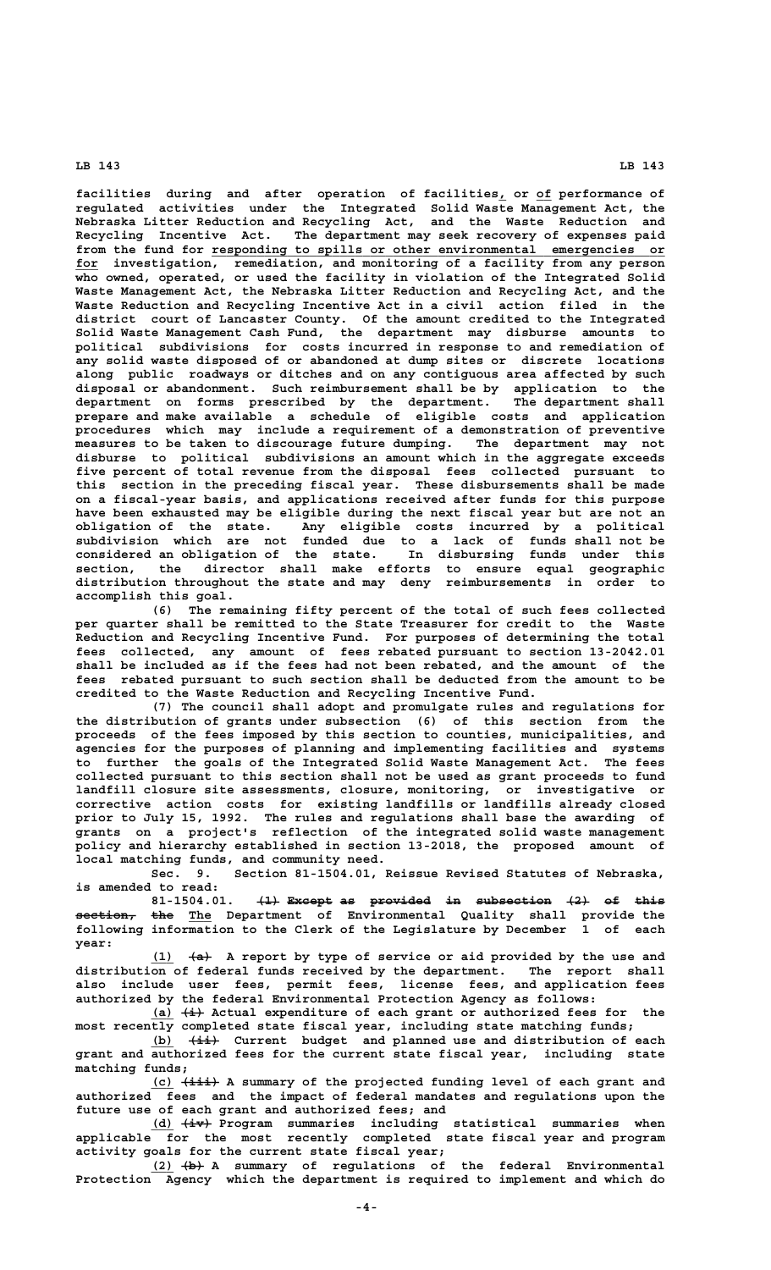**facilities during and after operation of facilities, or of performance of \_ \_\_ regulated activities under the Integrated Solid Waste Management Act, the Nebraska Litter Reduction and Recycling Act, and the Waste Reduction and Recycling Incentive Act. The department may seek recovery of expenses paid** from the fund for responding to spills or other environmental emergencies or  **\_\_\_ for investigation, remediation, and monitoring of a facility from any person who owned, operated, or used the facility in violation of the Integrated Solid Waste Management Act, the Nebraska Litter Reduction and Recycling Act, and the Waste Reduction and Recycling Incentive Act in a civil action filed in the district court of Lancaster County. Of the amount credited to the Integrated Solid Waste Management Cash Fund, the department may disburse amounts to political subdivisions for costs incurred in response to and remediation of any solid waste disposed of or abandoned at dump sites or discrete locations along public roadways or ditches and on any contiguous area affected by such disposal or abandonment. Such reimbursement shall be by application to the department on forms prescribed by the department. The department shall** department on forms prescribed by the department. The department shall prepare and make available a schedule of eligible costs and application **procedures which may include a requirement of a demonstration of preventive measures to be taken to discourage future dumping. The department may not disburse to political subdivisions an amount which in the aggregate exceeds five percent of total revenue from the disposal fees collected pursuant to this section in the preceding fiscal year. These disbursements shall be made on a fiscal-year basis, and applications received after funds for this purpose have been exhausted may be eligible during the next fiscal year but are not an obligation of the state. Any eligible costs incurred by a political subdivision which are not funded due to a lack of funds shall not be considered an obligation of the state. In disbursing funds under this section, the director shall make efforts to ensure equal geographic distribution throughout the state and may deny reimbursements in order to accomplish this goal.**

> **(6) The remaining fifty percent of the total of such fees collected per quarter shall be remitted to the State Treasurer for credit to the Waste Reduction and Recycling Incentive Fund. For purposes of determining the total fees collected, any amount of fees rebated pursuant to section 13-2042.01 shall be included as if the fees had not been rebated, and the amount of the fees rebated pursuant to such section shall be deducted from the amount to be credited to the Waste Reduction and Recycling Incentive Fund.**

> **(7) The council shall adopt and promulgate rules and regulations for the distribution of grants under subsection (6) of this section from the proceeds of the fees imposed by this section to counties, municipalities, and agencies for the purposes of planning and implementing facilities and systems to further the goals of the Integrated Solid Waste Management Act. The fees collected pursuant to this section shall not be used as grant proceeds to fund landfill closure site assessments, closure, monitoring, or investigative or corrective action costs for existing landfills or landfills already closed prior to July 15, 1992. The rules and regulations shall base the awarding of grants on a project's reflection of the integrated solid waste management policy and hierarchy established in section 13-2018, the proposed amount of local matching funds, and community need.**

> **Sec. 9. Section 81-1504.01, Reissue Revised Statutes of Nebraska, is amended to read:**

> **81-1504.01.** <del>(1)</del> Except as provided in subsection (2) of this **section, the The Department of Environmental Quality shall provide the ———————— ——— \_\_\_ following information to the Clerk of the Legislature by December 1 of each year:**

> **\_\_\_ ——— (1) (a) A report by type of service or aid provided by the use and distribution of federal funds received by the department. The report shall also include user fees, permit fees, license fees, and application fees authorized by the federal Environmental Protection Agency as follows:**

> **\_\_\_ ——— (a) (i) Actual expenditure of each grant or authorized fees for the most recently completed state fiscal year, including state matching funds;**

 **\_\_\_ ———— (b) (ii) Current budget and planned use and distribution of each grant and authorized fees for the current state fiscal year, including state matching funds;**

 **\_\_\_ ————— (c) (iii) A summary of the projected funding level of each grant and authorized fees and the impact of federal mandates and regulations upon the future use of each grant and authorized fees; and**

 **\_\_\_ ———— (d) (iv) Program summaries including statistical summaries when applicable for the most recently completed state fiscal year and program activity goals for the current state fiscal year;**

 **\_\_\_ ——— (2) (b) A summary of regulations of the federal Environmental Protection Agency which the department is required to implement and which do**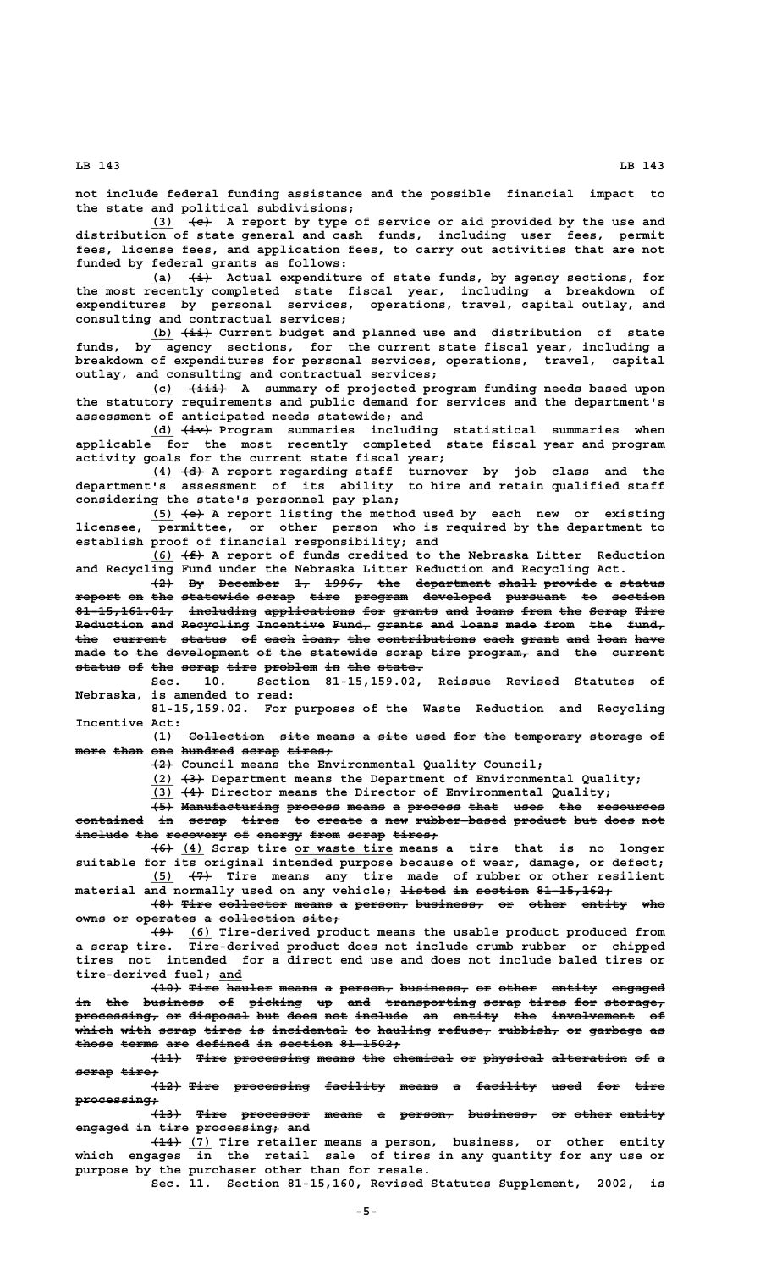**not include federal funding assistance and the possible financial impact to the state and political subdivisions;**

 **\_\_\_ ——— (3) (c) A report by type of service or aid provided by the use and distribution of state general and cash funds, including user fees, permit fees, license fees, and application fees, to carry out activities that are not funded by federal grants as follows:**

 **\_\_\_ ——— (a) (i) Actual expenditure of state funds, by agency sections, for the most recently completed state fiscal year, including a breakdown of expenditures by personal services, operations, travel, capital outlay, and consulting and contractual services;**

 **\_\_\_ ———— (b) (ii) Current budget and planned use and distribution of state funds, by agency sections, for the current state fiscal year, including a breakdown of expenditures for personal services, operations, travel, capital outlay, and consulting and contractual services;**

 **\_\_\_ ————— (c) (iii) A summary of projected program funding needs based upon the statutory requirements and public demand for services and the department's assessment of anticipated needs statewide; and**

 **\_\_\_ ———— (d) (iv) Program summaries including statistical summaries when applicable for the most recently completed state fiscal year and program activity goals for the current state fiscal year;**

 **\_\_\_ ——— (4) (d) A report regarding staff turnover by job class and the department's assessment of its ability to hire and retain qualified staff considering the state's personnel pay plan;**

 **\_\_\_ ——— (5) (e) A report listing the method used by each new or existing licensee, permittee, or other person who is required by the department to establish proof of financial responsibility; and**

 **\_\_\_ ——— (6) (f) A report of funds credited to the Nebraska Litter Reduction and Recycling Fund under the Nebraska Litter Reduction and Recycling Act.**

**(2) By December 1, 1996, the department shall provide a status ——— —— ———————— —— ————— ——— —————————— ————— ——————— — ————— report on the statewide scrap tire program developed pursuant to section —————— —— ——— ————————— ————— ———— ——————— ————————— ———————— —— ———————** 81-15,161.01, including applications for grants and loans from the Scrap Tire Reduction and Recycling Incentive Fund, grants and loans made from the fund, the current status of each loan, the contributions each grant and loan have made to the development of the statewide scrap tire program, and the current status of the scrap tire problem in the state.

**Sec. 10. Section 81-15,159.02, Reissue Revised Statutes of Nebraska, is amended to read:**

**81-15,159.02. For purposes of the Waste Reduction and Recycling Incentive Act:**

(1) Collection site means a site used for the temporary storage of  $m$ <sup>ore than one hundred scrap tires.</sup>

 **——— (2) Council means the Environmental Quality Council;**

 **\_\_\_ ——— (2) (3) Department means the Department of Environmental Quality;**

 **\_\_\_ ——— (3) (4) Director means the Director of Environmental Quality;**

**(5) Manufacturing process means a process that uses the resources ——— ————————————— ——————— ————— — ——————— ———— ———— ——— ———————— contained in scrap tires to create a new rubber-based product but does not ————————— —— ————— ————— —— —————— — ——— ———————————— ——————— ——— ———— ——** include the recovery of energy from scrap tires,

 $\overline{(4)}$  (4) Scrap tire or waste tire means a tire that is no longer **suitable for its original intended purpose because of wear, damage, or defect; \_\_\_ ——— (5) (7) Tire means any tire made of rubber or other resilient**  $m$ aterial and normally used on any vehicle; <del>listed in section 81-15,162;</del>

**(8) Tire collector means a person, business, or other entity who ——— ———— ————————— ————— — ——————— ————————— —— ————— —————— ——**  $owns$  or operates a collection site;

 **——— \_\_\_ (9) (6) Tire-derived product means the usable product produced from a scrap tire. Tire-derived product does not include crumb rubber or chipped tires not intended for a direct end use and does not include baled tires or \_\_\_ tire-derived fuel; and**

> **(10) Tire hauler means a person, business, or other entity engaged ———— ———— —————— ————— — ——————— ————————— —— ————— —————— ——————** in the business of picking up and transporting scrap tires for storage, **processing, or disposal but does not include an entity the involvement of ——————————— —— ———————— ——— ———— ——— ——————— —— —————— ——— ——————————— —— .**<br>Which with scrap tires is incidental to hauling refuse, rubbish, or garbage as those terms are defined in section 81-1502;

> **(11) Tire processing means the chemical or physical alteration of a ———— ———— —————————— ————— ——— ———————— —— ———————— —————————— —— scrap tire; ————— —————**

> $\textcolor{red}{\textbf{+12+}}$  Tire processing facility means a facility used for tire  **processing; ———————————**

> $\overline{13}$  Tire processor means a person, business, or other entity **engaged in tire processing; and**

 **———— \_\_\_ (14) (7) Tire retailer means a person, business, or other entity which engages in the retail sale of tires in any quantity for any use or purpose by the purchaser other than for resale.**

**Sec. 11. Section 81-15,160, Revised Statutes Supplement, 2002, is**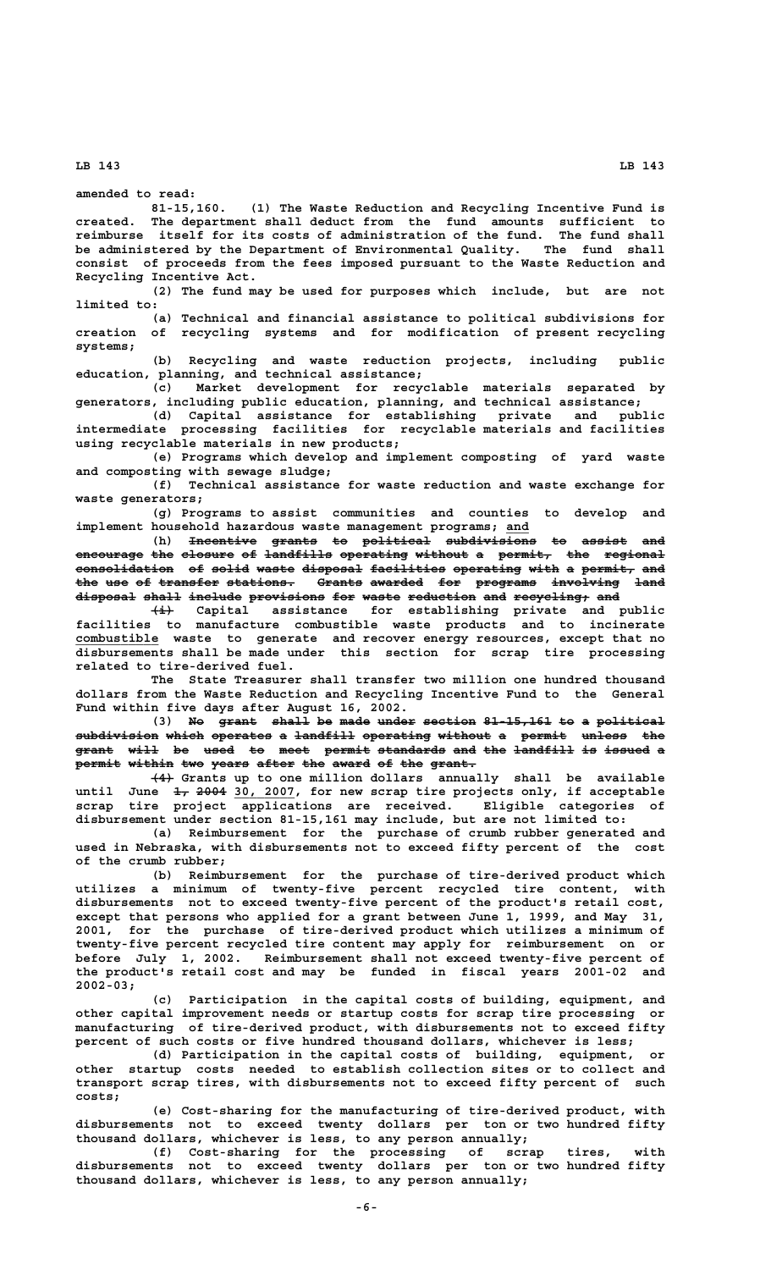**amended to read:**

**81-15,160. (1) The Waste Reduction and Recycling Incentive Fund is created. The department shall deduct from the fund amounts sufficient to reimburse itself for its costs of administration of the fund. The fund shall be administered by the Department of Environmental Quality. The fund shall consist of proceeds from the fees imposed pursuant to the Waste Reduction and Recycling Incentive Act.**

**(2) The fund may be used for purposes which include, but are not limited to:**

**(a) Technical and financial assistance to political subdivisions for creation of recycling systems and for modification of present recycling systems;**

**(b) Recycling and waste reduction projects, including public education, planning, and technical assistance;**

**(c) Market development for recyclable materials separated by generators, including public education, planning, and technical assistance;**

**(d) Capital assistance for establishing private and public intermediate processing facilities for recyclable materials and facilities using recyclable materials in new products;**

**(e) Programs which develop and implement composting of yard waste and composting with sewage sludge;**

**(f) Technical assistance for waste reduction and waste exchange for waste generators;**

**(g) Programs to assist communities and counties to develop and implement household hazardous waste management programs; and \_\_\_**

(h) <del>Incentive grants</del> to political subdivisions to assist and **encourage the closure of landfills operating without a permit, the regional** consolidation of solid waste disposal facilities operating with a permit, and the use of transfer stations. Grants awarded for programs involving land disposal shall include provisions for waste reduction and recycling, and

 **——— (i) Capital assistance for establishing private and public facilities to manufacture combustible waste products and to incinerate \_\_\_\_\_\_\_\_\_\_\_ combustible waste to generate and recover energy resources, except that no disbursements shall be made under this section for scrap tire processing related to tire-derived fuel.**

> **The State Treasurer shall transfer two million one hundred thousand dollars from the Waste Reduction and Recycling Incentive Fund to the General Fund within five days after August 16, 2002.**

> (3) No grant shall be made under section 81-15,161 to a political **subdivision which operates a landfill operating without a permit unless the ——————————— ————— ———————— — ———————— ————————— ——————— — —————— —————— —— grant will be used to meet permit standards and the landfill is issued a ————— ———— —— ———— —— ———— —————— ————————— ——— ——— ———————— —— —————— permit within two years after the award of the grant. —————— —————— ——— ————— ————— ——— ————— —— ——— ——————**

> **——— (4) Grants up to one million dollars annually shall be available** until June  $\frac{1}{4}$ ,  $\frac{2004}{30}$ ,  $\frac{2007}{200}$ , for new scrap tire projects only, if acceptable **scrap tire project applications are received. Eligible categories of disbursement under section 81-15,161 may include, but are not limited to:**

> **(a) Reimbursement for the purchase of crumb rubber generated and used in Nebraska, with disbursements not to exceed fifty percent of the cost of the crumb rubber;**

> **(b) Reimbursement for the purchase of tire-derived product which utilizes a minimum of twenty-five percent recycled tire content, with disbursements not to exceed twenty-five percent of the product's retail cost, except that persons who applied for a grant between June 1, 1999, and May 31, 2001, for the purchase of tire-derived product which utilizes a minimum of twenty-five percent recycled tire content may apply for reimbursement on or before July 1, 2002. Reimbursement shall not exceed twenty-five percent of the product's retail cost and may be funded in fiscal years 2001-02 and 2002-03;**

> **(c) Participation in the capital costs of building, equipment, and other capital improvement needs or startup costs for scrap tire processing or manufacturing of tire-derived product, with disbursements not to exceed fifty percent of such costs or five hundred thousand dollars, whichever is less;**

> **(d) Participation in the capital costs of building, equipment, or other startup costs needed to establish collection sites or to collect and transport scrap tires, with disbursements not to exceed fifty percent of such costs;**

> **(e) Cost-sharing for the manufacturing of tire-derived product, with disbursements not to exceed twenty dollars per ton or two hundred fifty thousand dollars, whichever is less, to any person annually;**

> **(f) Cost-sharing for the processing of scrap tires, with disbursements not to exceed twenty dollars per ton or two hundred fifty thousand dollars, whichever is less, to any person annually;**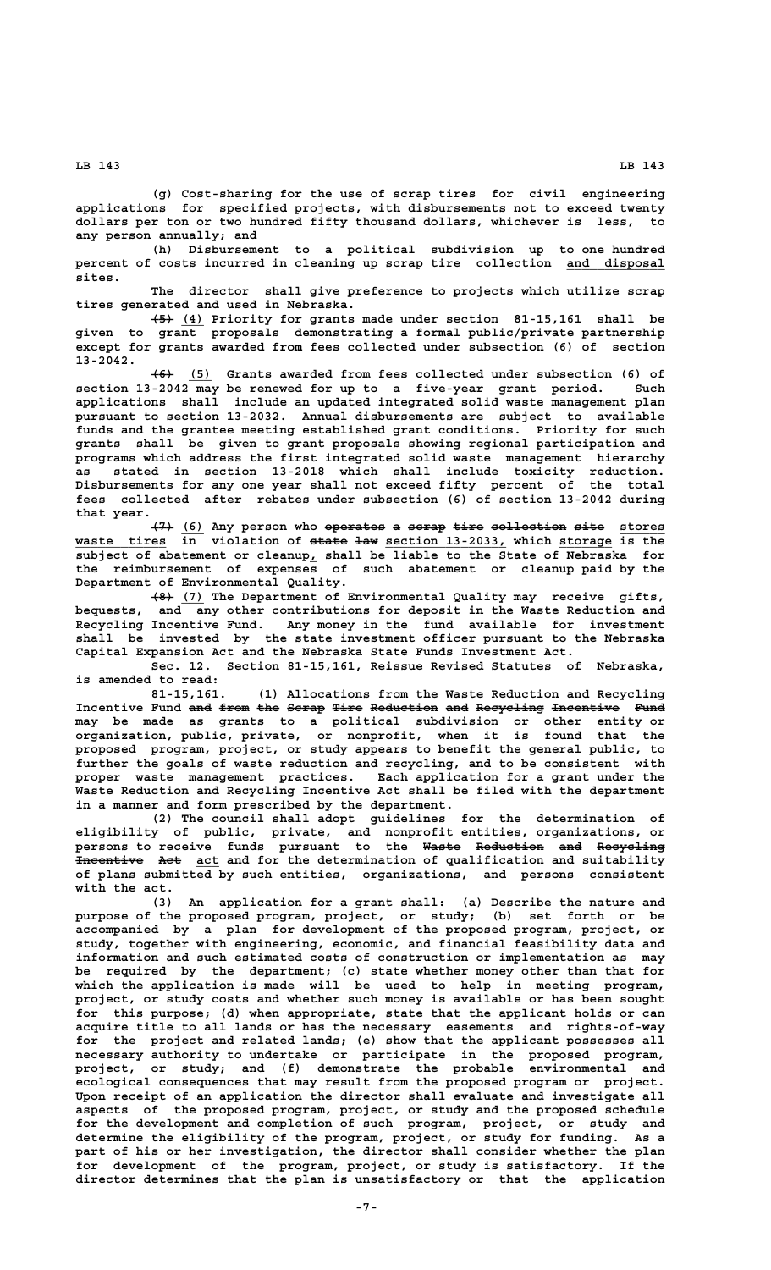**(g) Cost-sharing for the use of scrap tires for civil engineering applications for specified projects, with disbursements not to exceed twenty dollars per ton or two hundred fifty thousand dollars, whichever is less, to any person annually; and**

**(h) Disbursement to a political subdivision up to one hundred** percent of costs incurred in cleaning up scrap tire collection and disposal  **sites.**

**The director shall give preference to projects which utilize scrap tires generated and used in Nebraska.**

 **——— \_\_\_ (5) (4) Priority for grants made under section 81-15,161 shall be given to grant proposals demonstrating a formal public/private partnership except for grants awarded from fees collected under subsection (6) of section 13-2042.**

 **——— \_\_\_ (6) (5) Grants awarded from fees collected under subsection (6) of section 13-2042 may be renewed for up to a five-year grant period. Such applications shall include an updated integrated solid waste management plan pursuant to section 13-2032. Annual disbursements are subject to available funds and the grantee meeting established grant conditions. Priority for such grants shall be given to grant proposals showing regional participation and programs which address the first integrated solid waste management hierarchy as stated in section 13-2018 which shall include toxicity reduction. Disbursements for any one year shall not exceed fifty percent of the total fees collected after rebates under subsection (6) of section 13-2042 during that year.**

**(7) (6) Any person who <del>operates</del> a se<del>rap tire collection site</del> stores waste tires in violation of state law section 13-2033, which storage is the \_\_\_\_\_\_\_\_\_\_\_\_ ————— ——— \_\_\_\_\_\_\_\_\_\_\_\_\_\_\_\_ \_\_\_\_\_\_\_ \_ subject of abatement or cleanup, shall be liable to the State of Nebraska for the reimbursement of expenses of such abatement or cleanup paid by the Department of Environmental Quality.**

 **——— \_\_\_ (8) (7) The Department of Environmental Quality may receive gifts, bequests, and any other contributions for deposit in the Waste Reduction and Recycling Incentive Fund. Any money in the fund available for investment shall be invested by the state investment officer pursuant to the Nebraska Capital Expansion Act and the Nebraska State Funds Investment Act.**

**Sec. 12. Section 81-15,161, Reissue Revised Statutes of Nebraska, is amended to read:**

**81-15,161. (1) Allocations from the Waste Reduction and Recycling** Incentive Fund and from the Scrap Tire Reduction and Recycling Incentive Fund **may be made as grants to a political subdivision or other entity or organization, public, private, or nonprofit, when it is found that the proposed program, project, or study appears to benefit the general public, to further the goals of waste reduction and recycling, and to be consistent with proper waste management practices. Each application for a grant under the Waste Reduction and Recycling Incentive Act shall be filed with the department in a manner and form prescribed by the department.**

**(2) The council shall adopt guidelines for the determination of eligibility of public, private, and nonprofit entities, organizations, or persons to receive funds pursuant to the Waste Reduction and Recycling ————— ————————— ——— ————————— Incentive Act** act and for the determination of qualification and suitability **of plans submitted by such entities, organizations, and persons consistent with the act.**

**(3) An application for a grant shall: (a) Describe the nature and purpose of the proposed program, project, or study; (b) set forth or be accompanied by a plan for development of the proposed program, project, or study, together with engineering, economic, and financial feasibility data and information and such estimated costs of construction or implementation as may be required by the department; (c) state whether money other than that for which the application is made will be used to help in meeting program, project, or study costs and whether such money is available or has been sought for this purpose; (d) when appropriate, state that the applicant holds or can acquire title to all lands or has the necessary easements and rights-of-way for the project and related lands; (e) show that the applicant possesses all necessary authority to undertake or participate in the proposed program, project, or study; and (f) demonstrate the probable environmental and ecological consequences that may result from the proposed program or project. Upon receipt of an application the director shall evaluate and investigate all aspects of the proposed program, project, or study and the proposed schedule for the development and completion of such program, project, or study and determine the eligibility of the program, project, or study for funding. As a part of his or her investigation, the director shall consider whether the plan for development of the program, project, or study is satisfactory. If the director determines that the plan is unsatisfactory or that the application**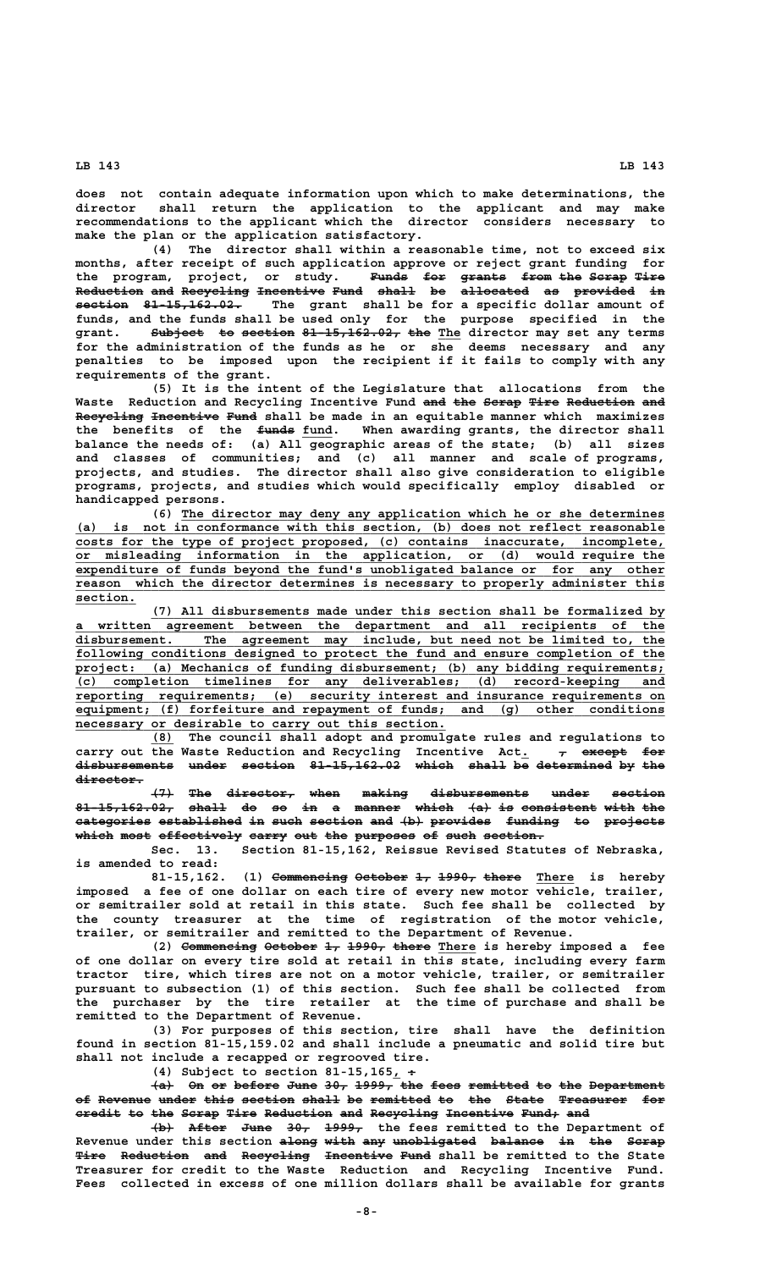**does not contain adequate information upon which to make determinations, the director shall return the application to the applicant and may make recommendations to the applicant which the director considers necessary to make the plan or the application satisfactory.**

**(4) The director shall within a reasonable time, not to exceed six months, after receipt of such application approve or reject grant funding for** the program, project, or study. <del>Funds for grants from the Scrap Tire</del> **Reduction and Recycling Incentive Fund shall be allocated as provided in ————————— ——— ————————— ————————— ———— ————— —— ————————— —— ———————— — section** 81-15,162.02. The grant shall be for a specific dollar amount of **funds, and the funds shall be used only for the purpose specified in the**  $\texttt{grant.} \qquad \texttt{Subject} \quad \texttt{to section} \; \; 81\text{--}15,162.92, \; \texttt{the} \; \; \texttt{The} \; \; \texttt{director} \; \; \texttt{may} \; \; \texttt{terms}$ **for the administration of the funds as he or she deems necessary and any penalties to be imposed upon the recipient if it fails to comply with any requirements of the grant.**

**(5) It is the intent of the Legislature that allocations from the** Waste Reduction and Recycling Incentive Fund and the Serap Tire Reduction and Recycling Incentive Fund shall be made in an equitable manner which maximizes the benefits of the <del>funds</del> fund. When awarding grants, the director shall **balance the needs of: (a) All geographic areas of the state; (b) all sizes and classes of communities; and (c) all manner and scale of programs, projects, and studies. The director shall also give consideration to eligible programs, projects, and studies which would specifically employ disabled or handicapped persons.**

 **\_\_\_\_\_\_\_\_\_\_\_\_\_\_\_\_\_\_\_\_\_\_\_\_\_\_\_\_\_\_\_\_\_\_\_\_\_\_\_\_\_\_\_\_\_\_\_\_\_\_\_\_\_\_\_\_\_\_\_\_\_\_\_\_ (6) The director may deny any application which he or she determines \_\_\_\_\_\_\_\_\_\_\_\_\_\_\_\_\_\_\_\_\_\_\_\_\_\_\_\_\_\_\_\_\_\_\_\_\_\_\_\_\_\_\_\_\_\_\_\_\_\_\_\_\_\_\_\_\_\_\_\_\_\_\_\_\_\_\_\_\_\_\_\_\_\_\_\_\_\_ (a) is not in conformance with this section, (b) does not reflect reasonable** costs for the type of project proposed, (c) contains inaccurate,  **\_\_\_\_\_\_\_\_\_\_\_\_\_\_\_\_\_\_\_\_\_\_\_\_\_\_\_\_\_\_\_\_\_\_\_\_\_\_\_\_\_\_\_\_\_\_\_\_\_\_\_\_\_\_\_\_\_\_\_\_\_\_\_\_\_\_\_\_\_\_\_\_\_\_\_\_\_\_ or misleading information in the application, or (d) would require the \_\_\_\_\_\_\_\_\_\_\_\_\_\_\_\_\_\_\_\_\_\_\_\_\_\_\_\_\_\_\_\_\_\_\_\_\_\_\_\_\_\_\_\_\_\_\_\_\_\_\_\_\_\_\_\_\_\_\_\_\_\_\_\_\_\_\_\_\_\_\_\_\_\_\_\_\_\_ expenditure of funds beyond the fund's unobligated balance or for any other \_\_\_\_\_\_\_\_\_\_\_\_\_\_\_\_\_\_\_\_\_\_\_\_\_\_\_\_\_\_\_\_\_\_\_\_\_\_\_\_\_\_\_\_\_\_\_\_\_\_\_\_\_\_\_\_\_\_\_\_\_\_\_\_\_\_\_\_\_\_\_\_\_\_\_\_\_\_ reason which the director determines is necessary to properly administer this section. \_\_\_\_\_\_\_\_**

 **\_\_\_\_\_\_\_\_\_\_\_\_\_\_\_\_\_\_\_\_\_\_\_\_\_\_\_\_\_\_\_\_\_\_\_\_\_\_\_\_\_\_\_\_\_\_\_\_\_\_\_\_\_\_\_\_\_\_\_\_\_\_\_\_\_\_\_\_ (7) All disbursements made under this section shall be formalized by \_\_\_\_\_\_\_\_\_\_\_\_\_\_\_\_\_\_\_\_\_\_\_\_\_\_\_\_\_\_\_\_\_\_\_\_\_\_\_\_\_\_\_\_\_\_\_\_\_\_\_\_\_\_\_\_\_\_\_\_\_\_\_\_\_\_\_\_\_\_\_\_\_\_\_\_\_\_ a written agreement between the department and all recipients of the \_\_\_\_\_\_\_\_\_\_\_\_\_\_\_\_\_\_\_\_\_\_\_\_\_\_\_\_\_\_\_\_\_\_\_\_\_\_\_\_\_\_\_\_\_\_\_\_\_\_\_\_\_\_\_\_\_\_\_\_\_\_\_\_\_\_\_\_\_\_\_\_\_\_\_\_\_\_ disbursement. The agreement may include, but need not be limited to, the \_\_\_\_\_\_\_\_\_\_\_\_\_\_\_\_\_\_\_\_\_\_\_\_\_\_\_\_\_\_\_\_\_\_\_\_\_\_\_\_\_\_\_\_\_\_\_\_\_\_\_\_\_\_\_\_\_\_\_\_\_\_\_\_\_\_\_\_\_\_\_\_\_\_\_\_\_\_ following conditions designed to protect the fund and ensure completion of the \_\_\_\_\_\_\_\_\_\_\_\_\_\_\_\_\_\_\_\_\_\_\_\_\_\_\_\_\_\_\_\_\_\_\_\_\_\_\_\_\_\_\_\_\_\_\_\_\_\_\_\_\_\_\_\_\_\_\_\_\_\_\_\_\_\_\_\_\_\_\_\_\_\_\_\_\_\_ project: (a) Mechanics of funding disbursement; (b) any bidding requirements; \_\_\_\_\_\_\_\_\_\_\_\_\_\_\_\_\_\_\_\_\_\_\_\_\_\_\_\_\_\_\_\_\_\_\_\_\_\_\_\_\_\_\_\_\_\_\_\_\_\_\_\_\_\_\_\_\_\_\_\_\_\_\_\_\_\_\_\_\_\_\_\_\_\_\_\_\_\_ (c) completion timelines for any deliverables; (d) record-keeping and \_\_\_\_\_\_\_\_\_\_\_\_\_\_\_\_\_\_\_\_\_\_\_\_\_\_\_\_\_\_\_\_\_\_\_\_\_\_\_\_\_\_\_\_\_\_\_\_\_\_\_\_\_\_\_\_\_\_\_\_\_\_\_\_\_\_\_\_\_\_\_\_\_\_\_\_\_\_ reporting requirements; (e) security interest and insurance requirements on \_\_\_\_\_\_\_\_\_\_\_\_\_\_\_\_\_\_\_\_\_\_\_\_\_\_\_\_\_\_\_\_\_\_\_\_\_\_\_\_\_\_\_\_\_\_\_\_\_\_\_\_\_\_\_\_\_\_\_\_\_\_\_\_\_\_\_\_\_\_\_\_\_\_\_\_\_\_ equipment; (f) forfeiture and repayment of funds; and (g) other conditions**  $\frac{1}{2}$  necessary or desirable to carry out this section.

 **\_\_\_ (8) The council shall adopt and promulgate rules and regulations to** carry out the Waste Reduction and Recycling Incentive Act.  $\tau$  except for **disbursements under section 81-15,162.02 which shall be determined by the ————————————— ————— ——————— ———————————— ————— ————— —— —————————— —— ——** director.

> **(7) The director, when making disbursements under section ——— ——— ————————— ———— —————— ————————————— ————— ——————— 81-15,162.02, shall do so in a manner which (a) is consistent with the ————————————— ————— —— —— —— — —————— ————— ——— —— —————————— ———— ———**  $\alpha$  a formagneed of  $\alpha$  and  $\alpha$  and  $\alpha$   $\beta$  and  $\beta$  and  $\alpha$   $\beta$  and  $\alpha$   $\beta$  and  $\beta$  and  $\beta$  and  $\beta$  and  $\beta$  and  $\beta$  and  $\beta$  and  $\alpha$  and  $\alpha$  and  $\alpha$  and  $\alpha$  and  $\alpha$  and  $\alpha$  and  $\alpha$  and  $\alpha$  and  $\alpha$  a which most effectively carry out the purposes of such section.

> **Sec. 13. Section 81-15,162, Reissue Revised Statutes of Nebraska, is amended to read:**

> 81-15,162. (1) Commencing October 1, 1990, there There is hereby **imposed a fee of one dollar on each tire of every new motor vehicle, trailer, or semitrailer sold at retail in this state. Such fee shall be collected by the county treasurer at the time of registration of the motor vehicle, trailer, or semitrailer and remitted to the Department of Revenue.**

> (2) <del>Commencing</del> October 1, 1990, there There is hereby imposed a fee **of one dollar on every tire sold at retail in this state, including every farm tractor tire, which tires are not on a motor vehicle, trailer, or semitrailer pursuant to subsection (1) of this section. Such fee shall be collected from the purchaser by the tire retailer at the time of purchase and shall be remitted to the Department of Revenue.**

> **(3) For purposes of this section, tire shall have the definition found in section 81-15,159.02 and shall include a pneumatic and solid tire but shall not include a recapped or regrooved tire.**

 **\_— (4) Subject to section 81-15,165, :**

 $\{a\}$  On or before June 30, 1999, the fees remitted to the Department of Revenue under this section shall be remitted to the State Treasurer for  $\texttt{eredict to the Serap Time Reduction and Recycling Theentive Fund: }$ 

 $\overline{+b}$  After June 30, 1999, the fees remitted to the Department of Revenue under this section along with any unobligated balance in the Scrap Tire Reduction and Recycling Incentive Fund shall be remitted to the State **Treasurer for credit to the Waste Reduction and Recycling Incentive Fund. Fees collected in excess of one million dollars shall be available for grants**